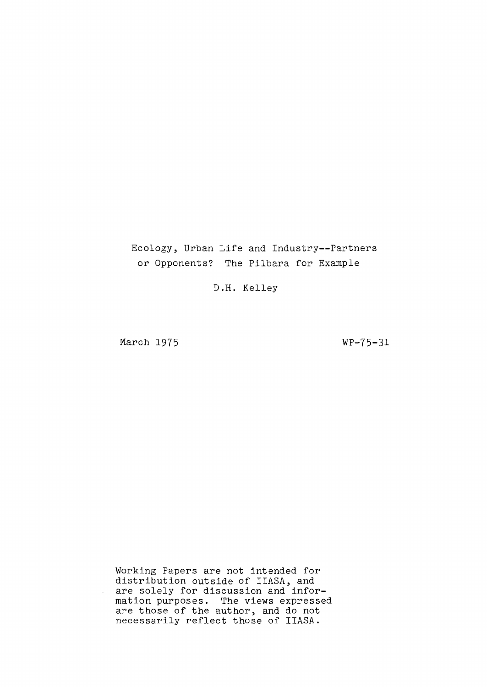# Ecology, Urban Life and Industry--Partners or Opponents? The Pilbara for Example

D.H. Kelley

March 1975

WP-75-31

Working Papers are not intended for distribution outside of IIASA, and are solely for discussion and information purposes. The views expressed are those of the author, and do not necessarily reflect those of IIASA.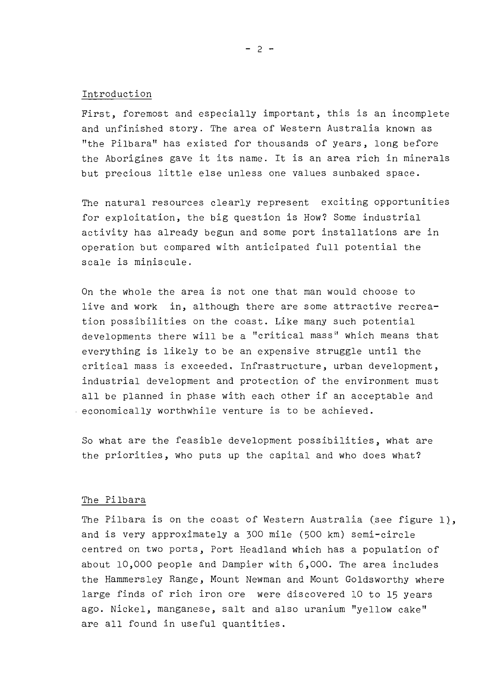#### Introduction

First, foremost and especially important, this is an incomplete and unfinished story. The area of Western Australia known as "the Pilbara" has existed for thousands of years, long before the Aborigines gave it its name. It is an area rich in minerals but precious little else unless one values sunbaked space.

The natural resources clearly represent exciting opportunities for exploitation, the big question is How? Some industrial activity has already begun and some port installations are in operation but compared with anticipated full potential the scale is miniscule.

On the whole the area is not one that man would choose to live and work in, although there are some attractive recreation possibilities on the coast. Like many such potential developments there will be a "critical mass" which means that everything is likely to be an expensive struggle until the critical mass is exceeded. Infrastructure, urban development, industrial development and protection of the environment must all be planned in phase with each other if an acceptable and economically worthwhile venture is to be achieved.

So what are the feasible development possibilities, what are the priorities, who puts up the capital and who does what?

#### The Pilbara

The Pilbara is on the coast of Western Australia (see figure 1), and is very approximately <sup>a</sup> 300 mile (500 km) semi-circle centred on two ports, Port Headland which has a population of about 10,000 people and Dampier with 6,000. The area includes the Hammersley Range, Mount Newman and Mount Goldsworthy where large finds of rich iron ore were discovered 10 to 15 years ago. Nickel, manganese, salt and also uranium "yellow cake" are all found in useful quantities.

 $- 2 -$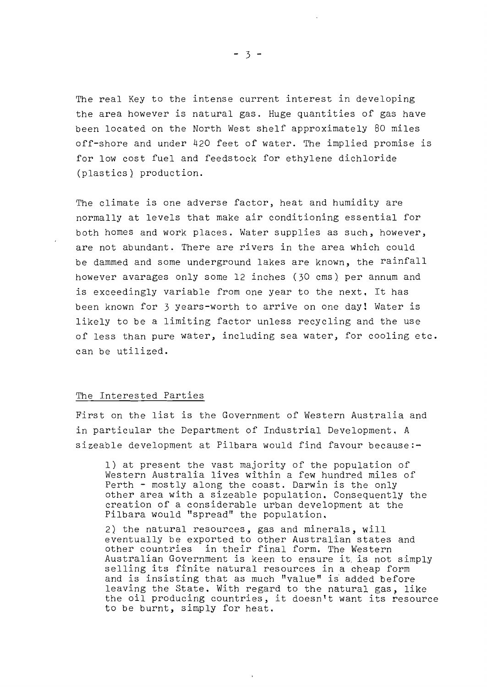The real Key to the intense current interest in developing the area however is natural gas. Huge quantities of gas have been located on the North West shelf approximately 80 miles off-shore and under 420 feet of water. The implied promise is for low cost fuel and feedstock for ethylene dichloride (plastics) production.

The climate is one adverse factor, heat and humidity are normally at levels that make air conditioning essential for both homes and work places. Water supplies as such, however, are not abundant. There are rivers in the area which could be dammed and some underground lakes are known, the rainfall however avarages only some 12 inches (30 ems) per annum and is exceedingly variable from one year to the next. It has been known for 3 years-worth to arrive on one day! Water is likely to be a limiting factor unless recycling and the use of less than pure water, including sea water, for cooling etc. can be utilized.

#### The Interested Parties

First on the list is the Government of Western Australia and in particular the Department of Industrial Development, <sup>A</sup> sizeable development at Pilbara would find favour because:-

1) at present the vast majority of the population of Western Australia lives within a few hundred miles of Perth - mostly along the coast. Darwin is the only other area with a sizeable population. Consequently the creation of a considerable urban development at the Pilbara would "spread" the population.

2) the natural resources, gas and minerals, will eventually be exported to other Australian states and other countries in their final form. The Western Australian Government is keen to ensure it. is not simply selling its finite natural resources in <sup>a</sup> cheap form and is insisting that as much "value" *ii* added before leaving the State. With regard to the natural gas, like the oil producing countries, it doesntt want its resource to be burnt, simply for heat.

 $-3 -$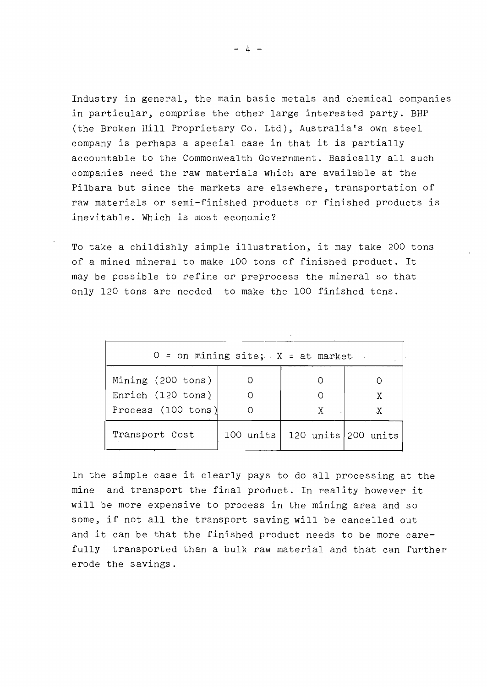Industry in general, the main basic metals and chemical companies in particular, comprise the other large interested party. BHP (the Broken Hill Proprietary Co. Ltd), Australia's own steel company is perhaps <sup>a</sup> special case in that it is partially accountable to the Commonwealth Government. Basically all such companies need the raw materials which are available at the Pilbara but since the markets are elsewhere, transportation of raw materials or semi-finished products or finished products is inevitable. Which is most economic?

To take <sup>a</sup> childishly simple illustration, it may take <sup>200</sup> tons of <sup>a</sup> mined mineral to make 100 tons of finished product. It may be possible to refine or preprocess the mineral so that only 120 tons are needed to make the 100 finished tons.

| $0 =$ on mining site; $X =$ at market. |                     |                     |   |
|----------------------------------------|---------------------|---------------------|---|
| Mining (200 tons)                      |                     |                     |   |
| Enrich (120 tons)                      |                     |                     | X |
| Process $(100 \text{ tons})$           |                     | X.                  | X |
| Transport Cost                         | $100$ units $\vert$ | 120 units 200 units |   |

In the simple case it clearly pays to do all processing at the mine and transport the final product. In reality however it will be more expensive to process in the mining area and so some, if not all the transport saving will be cancelled out and it can be that the finished product needs to be more carefully transported than a bulk raw material and that can further erode the savings.

*- l.j -*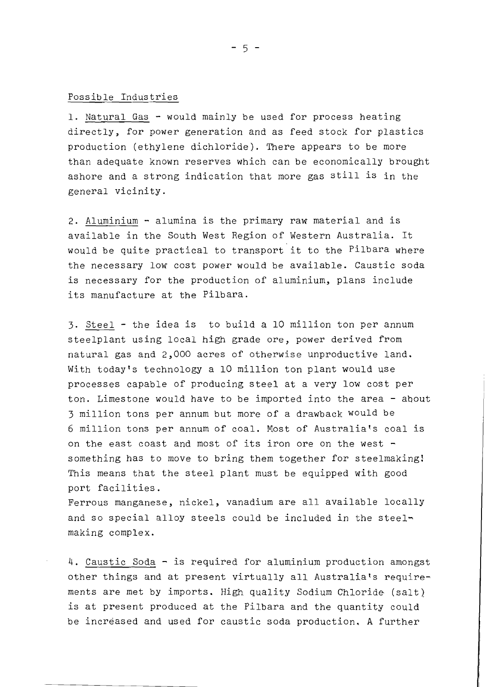## Possible Industries

**1.** Natural Gas - would mainly be used for process heating directly, for power generation and as feed stock for plastics production (ethylene dichloride). There appears to be more than adequate known reserves which can be economically brought ashore and <sup>a</sup> strong indication that more gas still is in the general vicinity.

2. Aluminium - alumina is the primary raw material and is available in the South West Region of Western Australia. It would be quite practical to transport it to the Pilbara where the necessary low cost power would be available. Caustic soda is necessary for the production of aluminium, plans include its manufacture at the Pilbara.

3. Steel - the idea is to build <sup>a</sup> 10 million ton per annum steelplant using local high grade ore, power derived from natural gas and 2,000 acres of otherwise unproductive land. With today's technology a 10 million ton plant would use processes capable of producing steel at <sup>a</sup> very low cost per ton. Limestone would have to be imported into the area - about 3 million tons per annum but more of a drawback would be 6 million tons per annum of coal. Most of Australia's coal is on the east coast and most of its iron ore on the west  $$ something has to move to bring them together for steelmaking! This means that the steel plant must be equipped with good port facilities.

Ferrous manganese, nickel, vanadium are all available locally and so special alloy steels could be included in the steelmaking complex.

**4.** Caustic Soda - is required for aluminium production amongst other things and at present virtually all Australia's requirements are met by imports. High quality Sodium Chloride (salt) is at present produced at the Pilbara and the quantity could be increased and used for caustic soda production. A further

- 5 -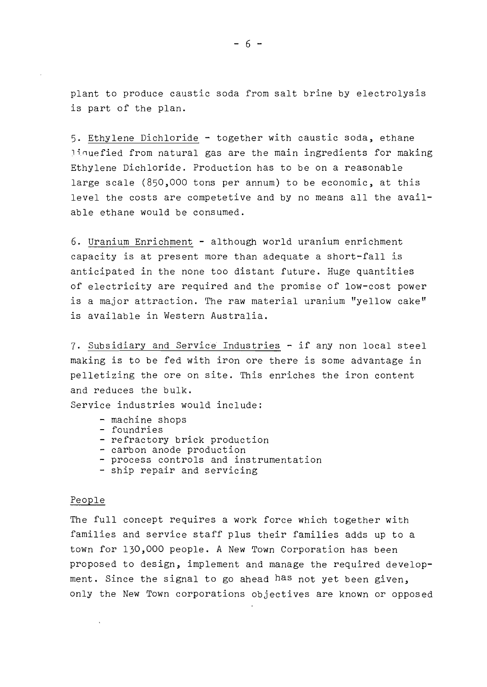plant to produce caustic soda from salt brine by electrolysis is part of the plan.

5. Ethylene Dichloride - together with caustic soda, ethane ~inuefied from natural gas are the main ingredients for making Ethylene Dichloride. Production has to be on a reasonable large scale (850,000 tons per annum) to be economic, at this level the costs are competetive and by no means all the available ethane would be consumed.

6. Uranium Enrichment - although world uranium enrichment capacity is at present more than adequate <sup>a</sup> short-fall is anticipated In the none too distant future. Huge quantities of electricity are required and the promise of low-cost power is <sup>a</sup> major attraction. The raw material uranium "yellow cake" is available in Western Australia.

7. Subsidiary and Service Industries - if any non local steel making is to be fed with iron ore there is some advantage in pelletizing the ore on site. This enriches the iron content and reduces the bulk.

Service industries would include:

- machine shops
- foundries
- refractory brick production
- carbon anode production
- process controls and instrumentation
- ship repair and servicing

#### People

The full concept requires <sup>a</sup> work force which together with families and service staff plus their families adds up to <sup>a</sup> town for 130,000 people. A New Town Corporation has been proposed to design, implement and manage the required development. Since the signal to go ahead has not yet been given, only the New Town corporations objectives are known or opposed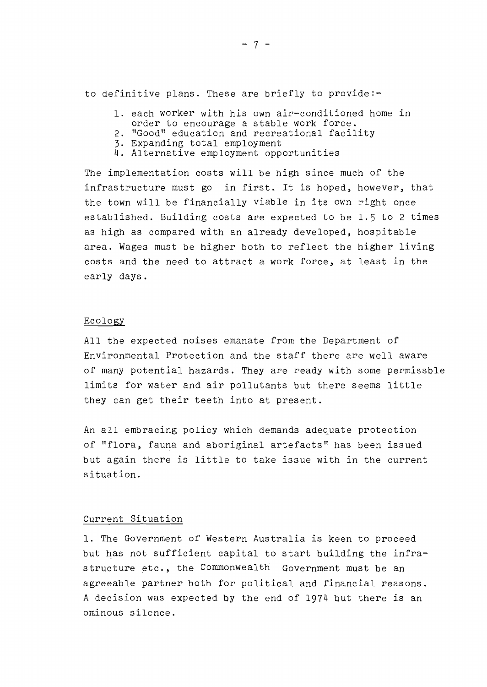to definitive plans. These are briefly to provide:-

- 1. each worker with his own air-conditioned home in order to encourage a stable work force.
- 2. "Good" education and recreational facility
- 3. Expanding total employment
- 4. Alternative employment opportunities

The implementation costs will be high since much of the infrastructure must go in first. It is hoped, however, that the town will be financially viable in its own right once established. Building costs are expected to be 1.5 to 2 times as high as compared with an already developed, hospitable area. Wages must be higher both to reflect the higher living costs and the need to attract <sup>a</sup> work force, at least in the early days.

#### Ecology

All the expected noises emanate from the Department of Environmental Protection and the staff there are well aware of many potential hazards. They are ready with some permissble limits for water and air pollutants but there seems little they can get their teeth into at present.

An all embracing policy which demands adequate protection of "flora, fauna and aboriginal artefacts" has been issued but again there is little to take issue with in the current situation.

## Current Situation

1. The Government of Western Australia is keen to proceed but has not sufficient capital to start building the infrastructure etc., the Commonwealth Government must be an agreeable partner both for political and financial reasons. <sup>A</sup> decision was expected by the end of 1974 but there is an ominous silence.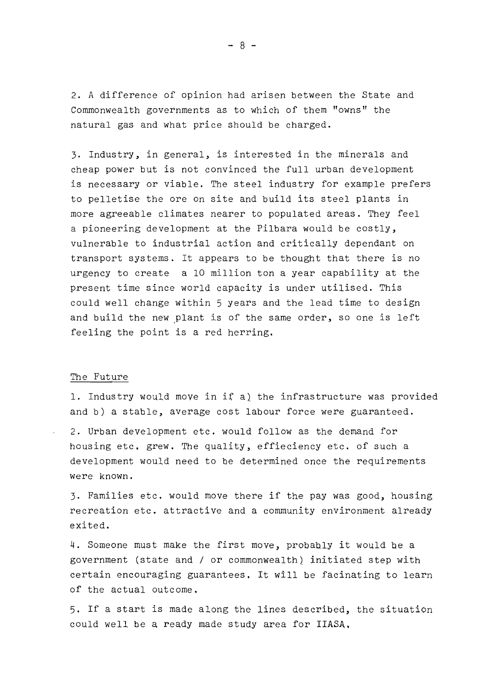2. A difference of opinion had arisen between the State and Commonwealth governments as to which of them "owns" the natural gas and what price should be charged.

3. Industry, in general, is interested in the minerals and cheap power but is not convinced the full urban development is necessary or viable. The steel industry for example prefers to pelletise the ore on site and build its steel plants ln more agreeable climates nearer to populated areas. They feel a pioneering development at the Pilbara would be costly, vulnerable to industrial action and critically dependant on transport systems. It appears to be thought that there is no urgency to create a 10 million ton a year capability at the present time since world capacity is under utilised. This could well change within 5 years and the lead time to design and build the new plant is of the same order, so one is left feeling the point is <sup>a</sup> red herring.

## The Future

1. Industry would move in i{ a) the infrastructure was provided and b) <sup>a</sup> stable, average cost labour force were guaranteed.

2. Urban development etc. would follow as the demand for housing etc. grew. The quality, effieciency etc. of such <sup>a</sup> development would need to be determined once the requirements were known.

3. Families etc. would move there if the pay was good, housing recreation etc. attractive and <sup>a</sup> community environment already exited.

4. Someone must make the first move, probably it would be a government (state and / or commonwealth) initiated step with certain encouraging guarantees. It will be facinating to learn of the actual outcome.

5. If <sup>a</sup> start is made along the lines described, the situation could well be a ready made study area for IIASA.